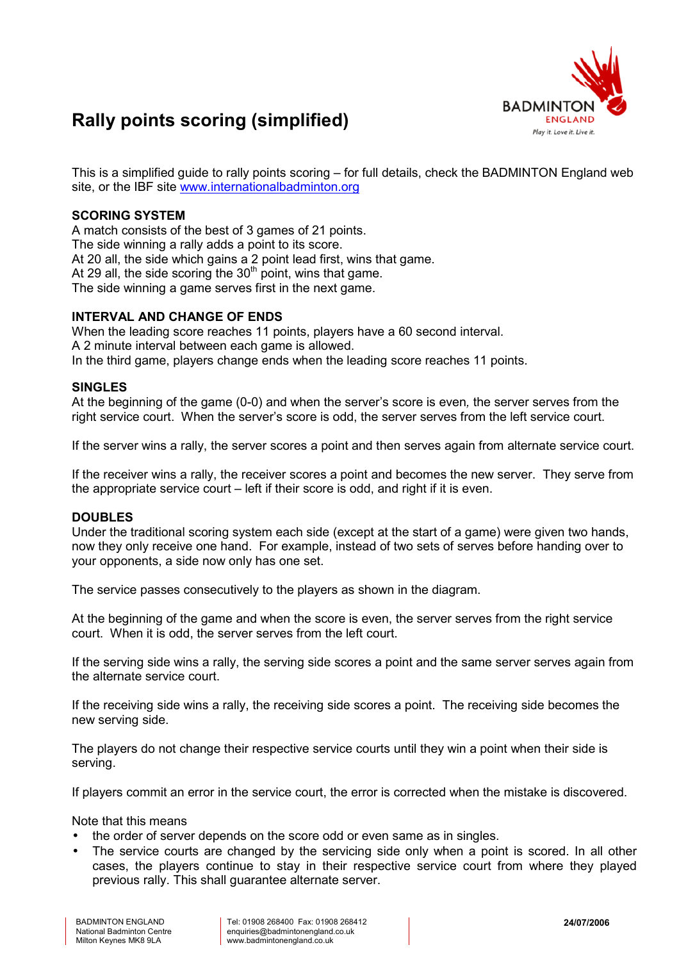

# **Rally points scoring (simplified)**

This is a simplified guide to rally points scoring – for full details, check the BADMINTON England web site, or the IBF site [www.internationalbadminton.org](http://www.internationalbadminton.org/)

## **SCORING SYSTEM**

A match consists of the best of 3 games of 21 points. The side winning a rally adds a point to its score. At 20 all, the side which gains a 2 point lead first, wins that game. At 29 all, the side scoring the  $30<sup>th</sup>$  point, wins that game. The side winning a game serves first in the next game.

### **INTERVAL AND CHANGE OF ENDS**

When the leading score reaches 11 points, players have a 60 second interval. A 2 minute interval between each game is allowed. In the third game, players change ends when the leading score reaches 11 points.

### **SINGLES**

At the beginning of the game (0-0) and when the server's score is even*,* the server serves from the right service court. When the server's score is odd, the server serves from the left service court.

If the server wins a rally, the server scores a point and then serves again from alternate service court.

If the receiver wins a rally, the receiver scores a point and becomes the new server. They serve from the appropriate service court  $-$  left if their score is odd, and right if it is even.

### **DOUBLES**

Under the traditional scoring system each side (except at the start of a game) were given two hands, now they only receive one hand. For example, instead of two sets of serves before handing over to your opponents, a side now only has one set.

The service passes consecutively to the players as shown in the diagram.

At the beginning of the game and when the score is even, the server serves from the right service court. When it is odd, the server serves from the left court.

If the serving side wins a rally, the serving side scores a point and the same server serves again from the alternate service court.

If the receiving side wins a rally, the receiving side scores a point. The receiving side becomes the new serving side.

The players do not change their respective service courts until they win a point when their side is serving.

If players commit an error in the service court, the error is corrected when the mistake is discovered.

Note that this means

- the order of server depends on the score odd or even same as in singles.
- The service courts are changed by the servicing side only when a point is scored. In all other cases, the players continue to stay in their respective service court from where they played previous rally. This shall guarantee alternate server.